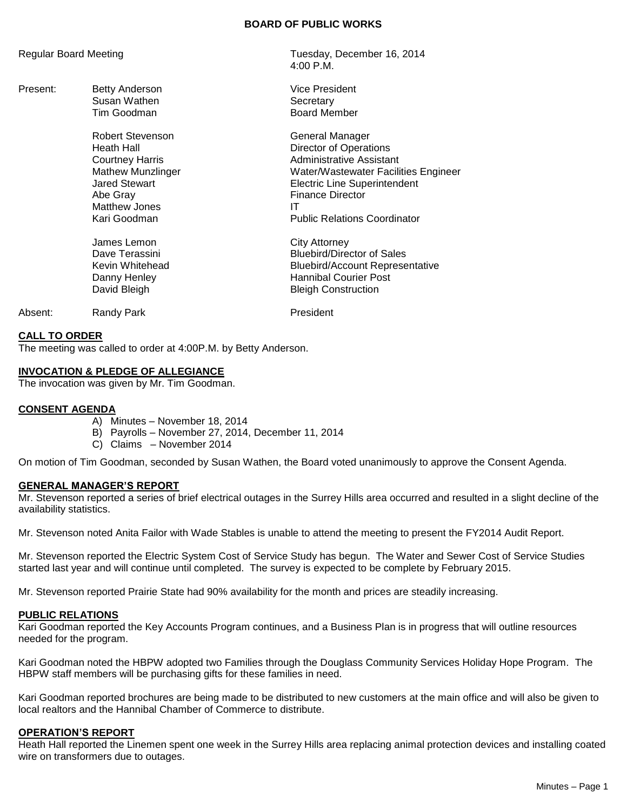### **BOARD OF PUBLIC WORKS**

| Regular Board Meeting |                                                                                                                                                    | Tuesday, December 16, 2014<br>$4:00$ P.M.                                                                                                                                                                                           |
|-----------------------|----------------------------------------------------------------------------------------------------------------------------------------------------|-------------------------------------------------------------------------------------------------------------------------------------------------------------------------------------------------------------------------------------|
| Present:              | Betty Anderson<br>Susan Wathen                                                                                                                     | <b>Vice President</b><br>Secretary                                                                                                                                                                                                  |
|                       | Tim Goodman                                                                                                                                        | <b>Board Member</b>                                                                                                                                                                                                                 |
|                       | Robert Stevenson<br>Heath Hall<br><b>Courtney Harris</b><br>Mathew Munzlinger<br><b>Jared Stewart</b><br>Abe Gray<br>Matthew Jones<br>Kari Goodman | General Manager<br><b>Director of Operations</b><br><b>Administrative Assistant</b><br>Water/Wastewater Facilities Engineer<br>Electric Line Superintendent<br><b>Finance Director</b><br>ΙT<br><b>Public Relations Coordinator</b> |
|                       | James Lemon<br>Dave Terassini<br>Kevin Whitehead<br>Danny Henley<br>David Bleigh                                                                   | City Attorney<br><b>Bluebird/Director of Sales</b><br><b>Bluebird/Account Representative</b><br><b>Hannibal Courier Post</b><br><b>Bleigh Construction</b>                                                                          |
| Absent:               | Randy Park                                                                                                                                         | President                                                                                                                                                                                                                           |

#### **CALL TO ORDER**

The meeting was called to order at 4:00P.M. by Betty Anderson.

### **INVOCATION & PLEDGE OF ALLEGIANCE**

The invocation was given by Mr. Tim Goodman.

#### **CONSENT AGENDA**

- A) Minutes November 18, 2014
- B) Payrolls November 27, 2014, December 11, 2014
- C) Claims November 2014

On motion of Tim Goodman, seconded by Susan Wathen, the Board voted unanimously to approve the Consent Agenda.

#### **GENERAL MANAGER'S REPORT**

Mr. Stevenson reported a series of brief electrical outages in the Surrey Hills area occurred and resulted in a slight decline of the availability statistics.

Mr. Stevenson noted Anita Failor with Wade Stables is unable to attend the meeting to present the FY2014 Audit Report.

Mr. Stevenson reported the Electric System Cost of Service Study has begun. The Water and Sewer Cost of Service Studies started last year and will continue until completed. The survey is expected to be complete by February 2015.

Mr. Stevenson reported Prairie State had 90% availability for the month and prices are steadily increasing.

#### **PUBLIC RELATIONS**

Kari Goodman reported the Key Accounts Program continues, and a Business Plan is in progress that will outline resources needed for the program.

Kari Goodman noted the HBPW adopted two Families through the Douglass Community Services Holiday Hope Program. The HBPW staff members will be purchasing gifts for these families in need.

Kari Goodman reported brochures are being made to be distributed to new customers at the main office and will also be given to local realtors and the Hannibal Chamber of Commerce to distribute.

#### **OPERATION'S REPORT**

Heath Hall reported the Linemen spent one week in the Surrey Hills area replacing animal protection devices and installing coated wire on transformers due to outages.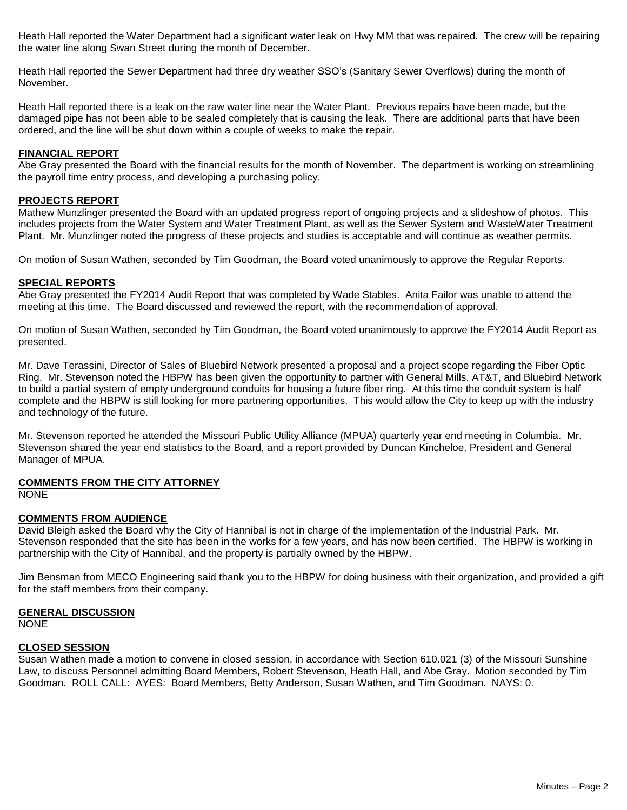Heath Hall reported the Water Department had a significant water leak on Hwy MM that was repaired. The crew will be repairing the water line along Swan Street during the month of December.

Heath Hall reported the Sewer Department had three dry weather SSO's (Sanitary Sewer Overflows) during the month of November.

Heath Hall reported there is a leak on the raw water line near the Water Plant. Previous repairs have been made, but the damaged pipe has not been able to be sealed completely that is causing the leak. There are additional parts that have been ordered, and the line will be shut down within a couple of weeks to make the repair.

## **FINANCIAL REPORT**

Abe Gray presented the Board with the financial results for the month of November. The department is working on streamlining the payroll time entry process, and developing a purchasing policy.

#### **PROJECTS REPORT**

Mathew Munzlinger presented the Board with an updated progress report of ongoing projects and a slideshow of photos. This includes projects from the Water System and Water Treatment Plant, as well as the Sewer System and WasteWater Treatment Plant. Mr. Munzlinger noted the progress of these projects and studies is acceptable and will continue as weather permits.

On motion of Susan Wathen, seconded by Tim Goodman, the Board voted unanimously to approve the Regular Reports.

### **SPECIAL REPORTS**

Abe Gray presented the FY2014 Audit Report that was completed by Wade Stables. Anita Failor was unable to attend the meeting at this time. The Board discussed and reviewed the report, with the recommendation of approval.

On motion of Susan Wathen, seconded by Tim Goodman, the Board voted unanimously to approve the FY2014 Audit Report as presented.

Mr. Dave Terassini, Director of Sales of Bluebird Network presented a proposal and a project scope regarding the Fiber Optic Ring. Mr. Stevenson noted the HBPW has been given the opportunity to partner with General Mills, AT&T, and Bluebird Network to build a partial system of empty underground conduits for housing a future fiber ring. At this time the conduit system is half complete and the HBPW is still looking for more partnering opportunities. This would allow the City to keep up with the industry and technology of the future.

Mr. Stevenson reported he attended the Missouri Public Utility Alliance (MPUA) quarterly year end meeting in Columbia. Mr. Stevenson shared the year end statistics to the Board, and a report provided by Duncan Kincheloe, President and General Manager of MPUA.

## **COMMENTS FROM THE CITY ATTORNEY**

NONE

## **COMMENTS FROM AUDIENCE**

David Bleigh asked the Board why the City of Hannibal is not in charge of the implementation of the Industrial Park. Mr. Stevenson responded that the site has been in the works for a few years, and has now been certified. The HBPW is working in partnership with the City of Hannibal, and the property is partially owned by the HBPW.

Jim Bensman from MECO Engineering said thank you to the HBPW for doing business with their organization, and provided a gift for the staff members from their company.

### **GENERAL DISCUSSION**

**NONE** 

## **CLOSED SESSION**

Susan Wathen made a motion to convene in closed session, in accordance with Section 610.021 (3) of the Missouri Sunshine Law, to discuss Personnel admitting Board Members, Robert Stevenson, Heath Hall, and Abe Gray. Motion seconded by Tim Goodman. ROLL CALL: AYES: Board Members, Betty Anderson, Susan Wathen, and Tim Goodman. NAYS: 0.